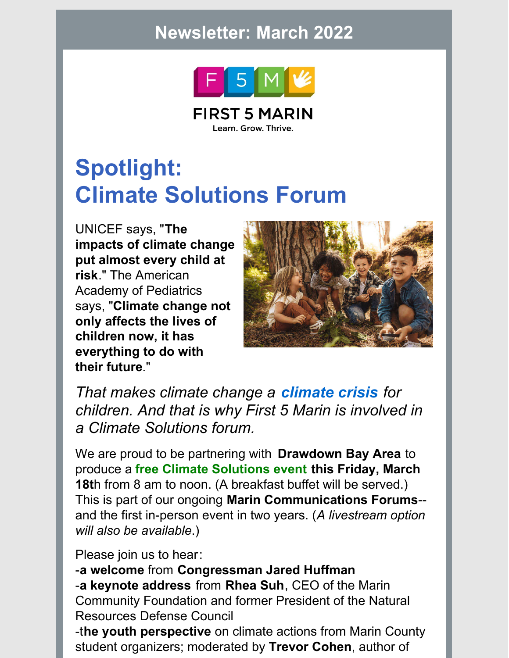### **Newsletter: March 2022**



**FIRST 5 MARIN** Learn. Grow. Thrive.

# **Spotlight: Climate Solutions Forum**

UNICEF says, "**The impacts of climate change put almost every child at risk**." The American Academy of Pediatrics says, "**Climate change not only affects the lives of children now, it has everything to do with their future**."



*That makes climate change a climate crisis for children. And that is why First 5 Marin is involved in a Climate Solutions forum.*

We are proud to be partnering with **Drawdown Bay Area** to produce a **free Climate Solutions event this Friday, March 18t**h from 8 am to noon. (A breakfast buffet will be served.) This is part of our ongoing **Marin Communications Forums**- and the first in-person event in two years. (*A livestream option will also be available*.)

#### Please join us to hear:

-**a welcome** from **Congressman Jared Huffman** -**a keynote address** from **Rhea Suh**, CEO of the Marin Community Foundation and former President of the Natural Resources Defense Council

-t**he youth perspective** on climate actions from Marin County student organizers; moderated by **Trevor Cohen**, author of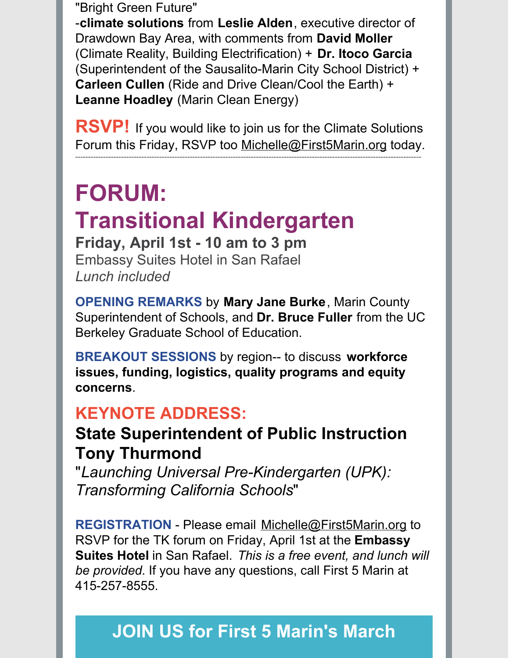"Bright Green Future"

-**climate solutions** from **Leslie Alden**, executive director of Drawdown Bay Area, with comments from **David Moller** (Climate Reality, Building Electrification) + **Dr. Itoco Garcia** (Superintendent of the Sausalito-Marin City School District) + **Carleen Cullen** (Ride and Drive Clean/Cool the Earth) + **Leanne Hoadley** (Marin Clean Energy)

**RSVP!** If you would like to join us for the Climate Solutions Forum this Friday, RSVP too [Michelle@First5Marin.org](mailto:Michelle@First5Marin.org) today. ----------------------------------------------------------------------------------------------------------------------------------------

# **FORUM: Transitional Kindergarten Friday, April 1st - 10 am to 3 pm**

Embassy Suites Hotel in San Rafael *Lunch included*

**OPENING REMARKS** by **Mary Jane Burke**, Marin County Superintendent of Schools, and **Dr. Bruce Fuller** from the UC Berkeley Graduate School of Education.

**BREAKOUT SESSIONS** by region-- to discuss **workforce issues, funding, logistics, quality programs and equity concerns**.

### **KEYNOTE ADDRESS:**

### **State Superintendent of Public Instruction Tony Thurmond**

"*Launching Universal Pre-Kindergarten (UPK): Transforming California Schools*"

**REGISTRATION** - Please email [Michelle@First5Marin.org](mailto:Michelle@First5Marin.org) to RSVP for the TK forum on Friday, April 1st at the **Embassy Suites Hotel** in San Rafael. *This is a free event, and lunch will be provided*. If you have any questions, call First 5 Marin at 415-257-8555.

## **JOIN US for First 5 Marin's March**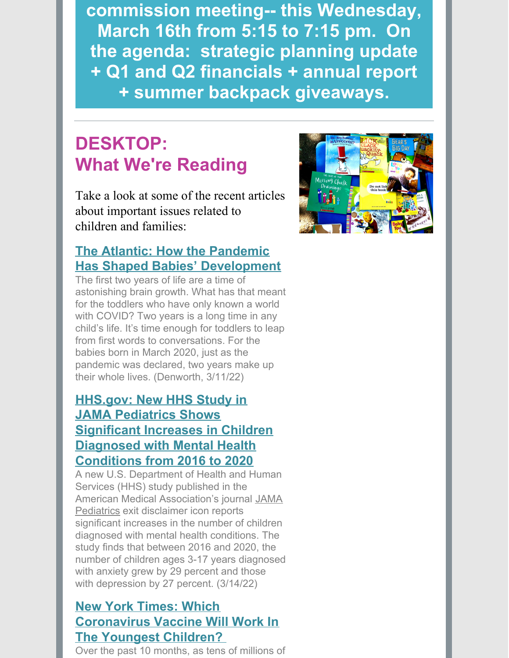**[commission](mailto:Michelle@First5Marin.org) meeting-- this Wednesday, March 16th from 5:15 to 7:15 pm. On the agenda: strategic planning update + Q1 and Q2 financials + annual report + summer backpack giveaways.**

### **DESKTOP: What We're Reading**

Take a look at some of the recent articles about important issues related to children and families:

#### **The Atlantic: How the Pandemic Has Shaped Babies' [Development](https://ccfc.us20.list-manage.com/track/click?u=135e2a604badf97829b72ff0d&id=7f62479523&e=94a7f6b3b5)**

The first two years of life are a time of astonishing brain growth. What has that meant for the toddlers who have only known a world with COVID? Two years is a long time in any child's life. It's time enough for toddlers to leap from first words to conversations. For the babies born in March 2020, just as the pandemic was declared, two years make up their whole lives. (Denworth, 3/11/22)

### **HHS.gov: New HHS Study in JAMA Pediatrics Shows Significant Increases in Children Diagnosed with Mental Health [Conditions](https://ccfc.us20.list-manage.com/track/click?u=135e2a604badf97829b72ff0d&id=fa6d2dc181&e=94a7f6b3b5) from 2016 to 2020**

A new U.S. Department of Health and Human Services (HHS) study published in the American Medical Association's journal JAMA Pediatrics exit disclaimer icon reports significant increases in the number of children diagnosed with mental health conditions. The study finds that between 2016 and 2020, the number of children ages 3-17 years diagnosed with anxiety grew by 29 percent and those with depression by 27 percent. (3/14/22)

### **New York Times: Which [Coronavirus](https://ccfc.us20.list-manage.com/track/click?u=135e2a604badf97829b72ff0d&id=f71fee97ca&e=94a7f6b3b5) Vaccine Will Work In The Youngest Children?**

Over the past 10 months, as tens of millions of

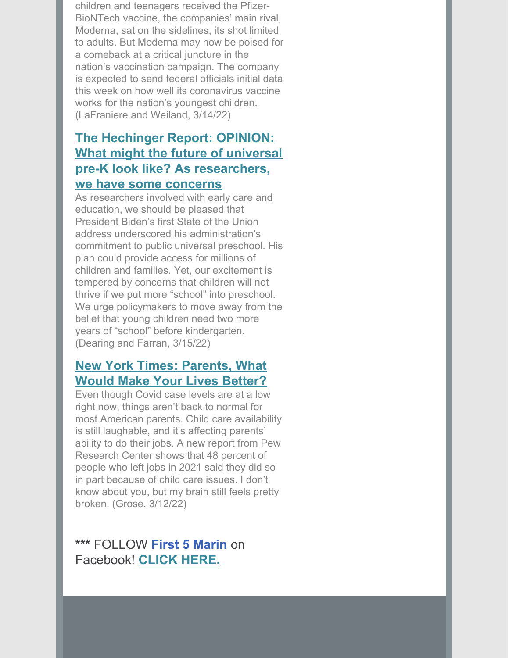children and teenagers received the Pfizer-BioNTech vaccine, the companies' main rival, Moderna, sat on the sidelines, its shot limited to adults. But Moderna may now be poised for a comeback at a critical juncture in the nation's vaccination campaign. The company is expected to send federal officials initial data this week on how well its coronavirus vaccine works for the nation's youngest children. (LaFraniere and Weiland, 3/14/22)

#### **The Hechinger Report: OPINION: What might the future of universal pre-K look like? As [researchers,](https://ccfc.us20.list-manage.com/track/click?u=135e2a604badf97829b72ff0d&id=524020aca8&e=94a7f6b3b5) we have some concerns**

As researchers involved with early care and education, we should be pleased that President Biden's first State of the Union address underscored his administration's commitment to public universal preschool. His plan could provide access for millions of children and families. Yet, our excitement is tempered by concerns that children will not thrive if we put more "school" into preschool. We urge policymakers to move away from the belief that young children need two more years of "school" before kindergarten. (Dearing and Farran, 3/15/22)

#### **New York Times: [Parents,](https://ccfc.us20.list-manage.com/track/click?u=135e2a604badf97829b72ff0d&id=addc522ef5&e=94a7f6b3b5) What Would Make Your Lives Better?**

Even though Covid case levels are at a low right now, things aren't back to normal for most American parents. Child care availability is still laughable, and it's affecting parents' ability to do their jobs. A new report from Pew Research Center shows that 48 percent of people who left jobs in 2021 said they did so in part because of child care issues. I don't know about you, but my brain still feels pretty broken. (Grose, 3/12/22)

#### **\*\*\*** FOLLOW **First 5 Marin** on Facebook! **[CLICK](https://www.facebook.com/First5Marin) HERE.**